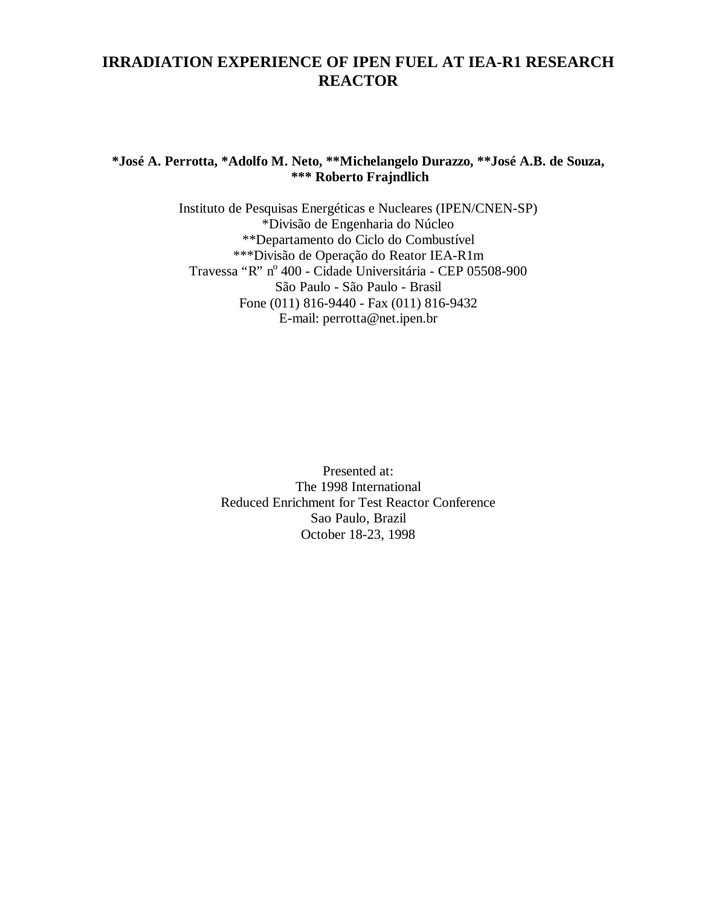# **IRRADIATION EXPERIENCE OF IPEN FUEL AT IEA-R1 RESEARCH REACTOR**

# **\*José A. Perrotta, \*Adolfo M. Neto, \*\*Michelangelo Durazzo, \*\*José A.B. de Souza, \*\*\* Roberto Frajndlich**

Instituto de Pesquisas Energéticas e Nucleares (IPEN/CNEN-SP) \*Divisão de Engenharia do Núcleo \*\*Departamento do Ciclo do Combustível \*\*\*Divisão de Operação do Reator IEA-R1m Travessa "R" nº 400 - Cidade Universitária - CEP 05508-900 São Paulo - São Paulo - Brasil Fone (011) 816-9440 - Fax (011) 816-9432 E-mail: perrotta@net.ipen.br

> Presented at: The 1998 International Reduced Enrichment for Test Reactor Conference Sao Paulo, Brazil October 18-23, 1998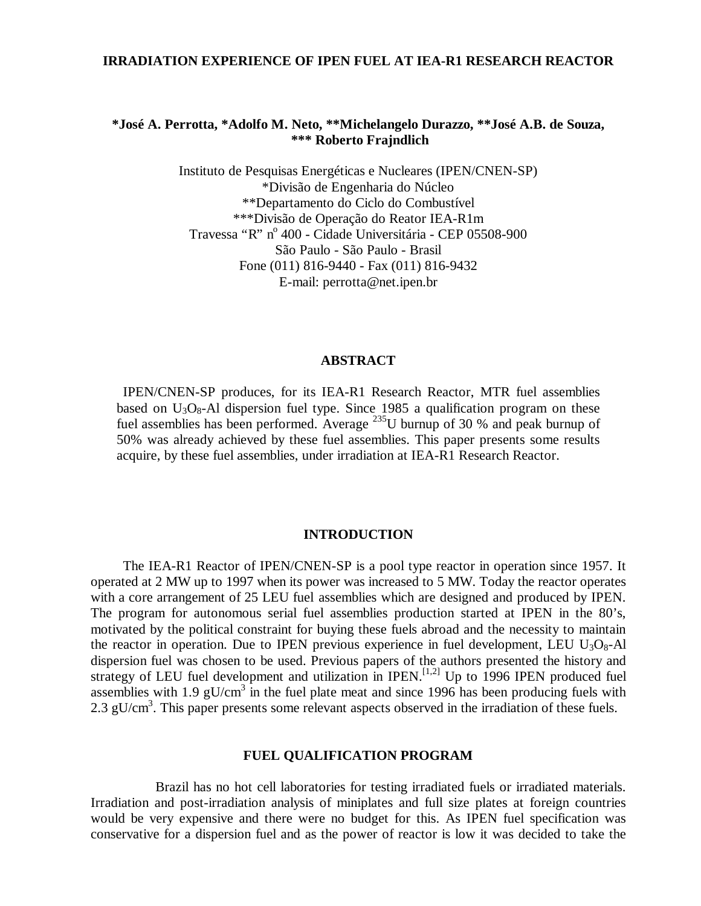#### **IRRADIATION EXPERIENCE OF IPEN FUEL AT IEA-R1 RESEARCH REACTOR**

### **\*José A. Perrotta, \*Adolfo M. Neto, \*\*Michelangelo Durazzo, \*\*José A.B. de Souza, \*\*\* Roberto Frajndlich**

Instituto de Pesquisas Energéticas e Nucleares (IPEN/CNEN-SP) \*Divisão de Engenharia do Núcleo \*\*Departamento do Ciclo do Combustível \*\*\*Divisão de Operação do Reator IEA-R1m Travessa "R" nº 400 - Cidade Universitária - CEP 05508-900 São Paulo - São Paulo - Brasil Fone (011) 816-9440 - Fax (011) 816-9432 E-mail: perrotta@net.ipen.br

#### **ABSTRACT**

IPEN/CNEN-SP produces, for its IEA-R1 Research Reactor, MTR fuel assemblies based on  $U_3O_8$ -Al dispersion fuel type. Since 1985 a qualification program on these fuel assemblies has been performed. Average <sup>235</sup>U burnup of 30 % and peak burnup of 50% was already achieved by these fuel assemblies. This paper presents some results acquire, by these fuel assemblies, under irradiation at IEA-R1 Research Reactor.

#### **INTRODUCTION**

The IEA-R1 Reactor of IPEN/CNEN-SP is a pool type reactor in operation since 1957. It operated at 2 MW up to 1997 when its power was increased to 5 MW. Today the reactor operates with a core arrangement of 25 LEU fuel assemblies which are designed and produced by IPEN. The program for autonomous serial fuel assemblies production started at IPEN in the 80's, motivated by the political constraint for buying these fuels abroad and the necessity to maintain the reactor in operation. Due to IPEN previous experience in fuel development, LEU  $U_3O_8$ -Al dispersion fuel was chosen to be used. Previous papers of the authors presented the history and strategy of LEU fuel development and utilization in IPEN.<sup>[1,2]</sup> Up to 1996 IPEN produced fuel assemblies with 1.9 gU/cm<sup>3</sup> in the fuel plate meat and since 1996 has been producing fuels with 2.3 gU/cm<sup>3</sup>. This paper presents some relevant aspects observed in the irradiation of these fuels.

#### **FUEL QUALIFICATION PROGRAM**

Brazil has no hot cell laboratories for testing irradiated fuels or irradiated materials. Irradiation and post-irradiation analysis of miniplates and full size plates at foreign countries would be very expensive and there were no budget for this. As IPEN fuel specification was conservative for a dispersion fuel and as the power of reactor is low it was decided to take the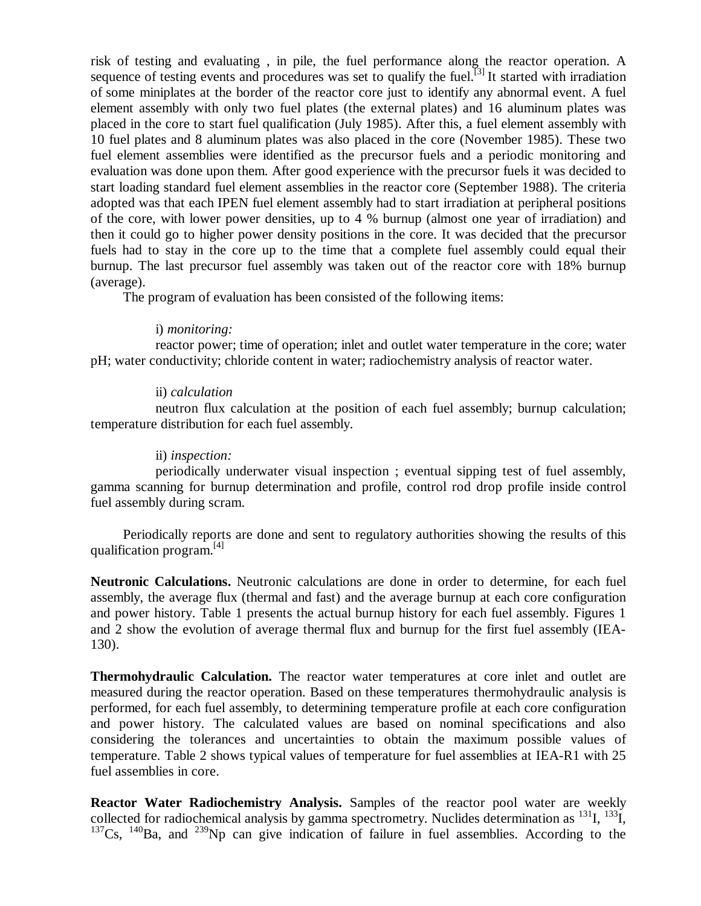risk of testing and evaluating , in pile, the fuel performance along the reactor operation. A sequence of testing events and procedures was set to qualify the fuel.<sup>[3]</sup> It started with irradiation of some miniplates at the border of the reactor core just to identify any abnormal event. A fuel element assembly with only two fuel plates (the external plates) and 16 aluminum plates was placed in the core to start fuel qualification (July 1985). After this, a fuel element assembly with 10 fuel plates and 8 aluminum plates was also placed in the core (November 1985). These two fuel element assemblies were identified as the precursor fuels and a periodic monitoring and evaluation was done upon them. After good experience with the precursor fuels it was decided to start loading standard fuel element assemblies in the reactor core (September 1988). The criteria adopted was that each IPEN fuel element assembly had to start irradiation at peripheral positions of the core, with lower power densities, up to 4 % burnup (almost one year of irradiation) and then it could go to higher power density positions in the core. It was decided that the precursor fuels had to stay in the core up to the time that a complete fuel assembly could equal their burnup. The last precursor fuel assembly was taken out of the reactor core with 18% burnup (average).

The program of evaluation has been consisted of the following items:

#### i) *monitoring:*

reactor power; time of operation; inlet and outlet water temperature in the core; water pH; water conductivity; chloride content in water; radiochemistry analysis of reactor water.

## ii) *calculation*

neutron flux calculation at the position of each fuel assembly; burnup calculation; temperature distribution for each fuel assembly.

# ii) *inspection:*

periodically underwater visual inspection ; eventual sipping test of fuel assembly, gamma scanning for burnup determination and profile, control rod drop profile inside control fuel assembly during scram.

Periodically reports are done and sent to regulatory authorities showing the results of this qualification program. [4]

**Neutronic Calculations.** Neutronic calculations are done in order to determine, for each fuel assembly, the average flux (thermal and fast) and the average burnup at each core configuration and power history. Table 1 presents the actual burnup history for each fuel assembly. Figures 1 and 2 show the evolution of average thermal flux and burnup for the first fuel assembly (IEA-130).

**Thermohydraulic Calculation.** The reactor water temperatures at core inlet and outlet are measured during the reactor operation. Based on these temperatures thermohydraulic analysis is performed, for each fuel assembly, to determining temperature profile at each core configuration and power history. The calculated values are based on nominal specifications and also considering the tolerances and uncertainties to obtain the maximum possible values of temperature. Table 2 shows typical values of temperature for fuel assemblies at IEA-R1 with 25 fuel assemblies in core.

**Reactor Water Radiochemistry Analysis.** Samples of the reactor pool water are weekly collected for radiochemical analysis by gamma spectrometry. Nuclides determination as  $^{131}$ I,  $^{133}$ I,  $137Cs$ ,  $140Ba$ , and  $239Nb$  can give indication of failure in fuel assemblies. According to the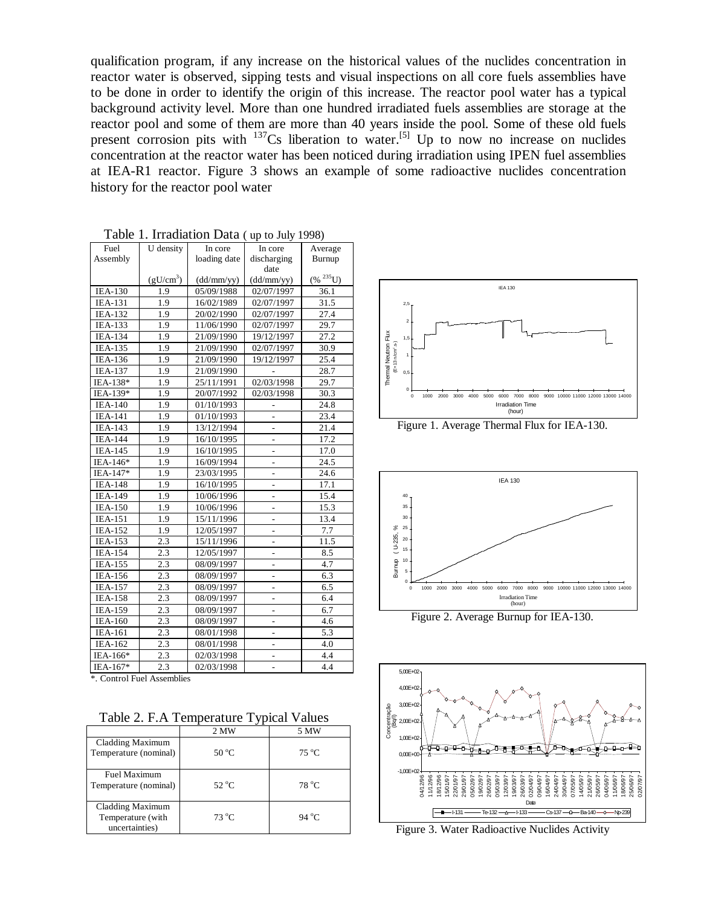qualification program, if any increase on the historical values of the nuclides concentration in reactor water is observed, sipping tests and visual inspections on all core fuels assemblies have to be done in order to identify the origin of this increase. The reactor pool water has a typical background activity level. More than one hundred irradiated fuels assemblies are storage at the reactor pool and some of them are more than 40 years inside the pool. Some of these old fuels present corrosion pits with  $137$ Cs liberation to water.<sup>[5]</sup> Up to now no increase on nuclides concentration at the reactor water has been noticed during irradiation using IPEN fuel assemblies at IEA-R1 reactor. Figure 3 shows an example of some radioactive nuclides concentration history for the reactor pool water

| Fuel           | U density             | In core      | In core                  | Average        |
|----------------|-----------------------|--------------|--------------------------|----------------|
| Assembly       |                       | loading date | discharging              | Burnup         |
|                |                       |              | date                     |                |
|                | (gU/cm <sup>3</sup> ) | (dd/mm/yy)   | (dd/mm/yy)               | $(\% ^{235}U)$ |
| <b>IEA-130</b> | 1.9                   | 05/09/1988   | 02/07/1997               | 36.1           |
| <b>IEA-131</b> | 1.9                   | 16/02/1989   | 02/07/1997               | 31.5           |
| <b>IEA-132</b> | 1.9                   | 20/02/1990   | 02/07/1997               | 27.4           |
| <b>IEA-133</b> | 1.9                   | 11/06/1990   | 02/07/1997               | 29.7           |
| <b>IEA-134</b> | 1.9                   | 21/09/1990   | 19/12/1997               | 27.2           |
| <b>IEA-135</b> | 1.9                   | 21/09/1990   | 02/07/1997               | 30.9           |
| IEA-136        | 1.9                   | 21/09/1990   | 19/12/1997               | 25.4           |
| <b>IEA-137</b> | 1.9                   | 21/09/1990   |                          | 28.7           |
| IEA-138*       | 1.9                   | 25/11/1991   | 02/03/1998               | 29.7           |
| IEA-139*       | 1.9                   | 20/07/1992   | 02/03/1998               | 30.3           |
| <b>IEA-140</b> | 1.9                   | 01/10/1993   |                          | 24.8           |
| <b>IEA-141</b> | 1.9                   | 01/10/1993   |                          | 23.4           |
| IEA-143        | 1.9                   | 13/12/1994   | $\overline{a}$           | 21.4           |
| <b>IEA-144</b> | 1.9                   | 16/10/1995   | $\overline{a}$           | 17.2           |
| <b>IEA-145</b> | 1.9                   | 16/10/1995   | L,                       | 17.0           |
| IEA-146*       | 1.9                   | 16/09/1994   | $\overline{\phantom{0}}$ | 24.5           |
| IEA-147*       | 1.9                   | 23/03/1995   | L,                       | 24.6           |
| <b>IEA-148</b> | 1.9                   | 16/10/1995   | $\overline{a}$           | 17.1           |
| <b>IEA-149</b> | 1.9                   | 10/06/1996   |                          | 15.4           |
| <b>IEA-150</b> | 1.9                   | 10/06/1996   |                          | 15.3           |
| <b>IEA-151</b> | 1.9                   | 15/11/1996   |                          | 13.4           |
| <b>IEA-152</b> | 1.9                   | 12/05/1997   |                          | 7.7            |
| IEA-153        | 2.3                   | 15/11/1996   | L,                       | 11.5           |
| <b>IEA-154</b> | 2.3                   | 12/05/1997   |                          | 8.5            |
| <b>IEA-155</b> | 2.3                   | 08/09/1997   | $\overline{\phantom{0}}$ | 4.7            |
| <b>IEA-156</b> | 2.3                   | 08/09/1997   | $\overline{\phantom{0}}$ | 6.3            |
| <b>IEA-157</b> | 2.3                   | 08/09/1997   | $\overline{a}$           | 6.5            |
| <b>IEA-158</b> | 2.3                   | 08/09/1997   | $\overline{\phantom{0}}$ | 6.4            |
| <b>IEA-159</b> | 2.3                   | 08/09/1997   | -                        | 6.7            |
| <b>IEA-160</b> | 2.3                   | 08/09/1997   | $\overline{a}$           | 4.6            |
| IEA-161        | 2.3                   | 08/01/1998   | -                        | 5.3            |
| IEA-162        | 2.3                   | 08/01/1998   |                          | 4.0            |
| IEA-166*       | 2.3                   | 02/03/1998   | $\overline{\phantom{0}}$ | 4.4            |
| IEA-167*       | 2.3                   | 02/03/1998   |                          | 4.4            |
| $\sim$         | $-1.11$               |              |                          |                |

|  | Table 1. Irradiation Data (up to July 1998) |  |  |
|--|---------------------------------------------|--|--|
|--|---------------------------------------------|--|--|

\*. Control Fuel Assemblies

Table 2. F.A Temperature Typical Values

|                                                         | 2 MW           | 5 MW           |
|---------------------------------------------------------|----------------|----------------|
| Cladding Maximum<br>Temperature (nominal)               | $50^{\circ}$ C | $75^{\circ}$ C |
| Fuel Maximum<br>Temperature (nominal)                   | $52\text{ °C}$ | 78 °C          |
| Cladding Maximum<br>Temperature (with<br>uncertainties) | $73^{\circ}$ C | 94 °C          |



Figure 1. Average Thermal Flux for IEA-130.



Figure 2. Average Burnup for IEA-130.



Figure 3. Water Radioactive Nuclides Activity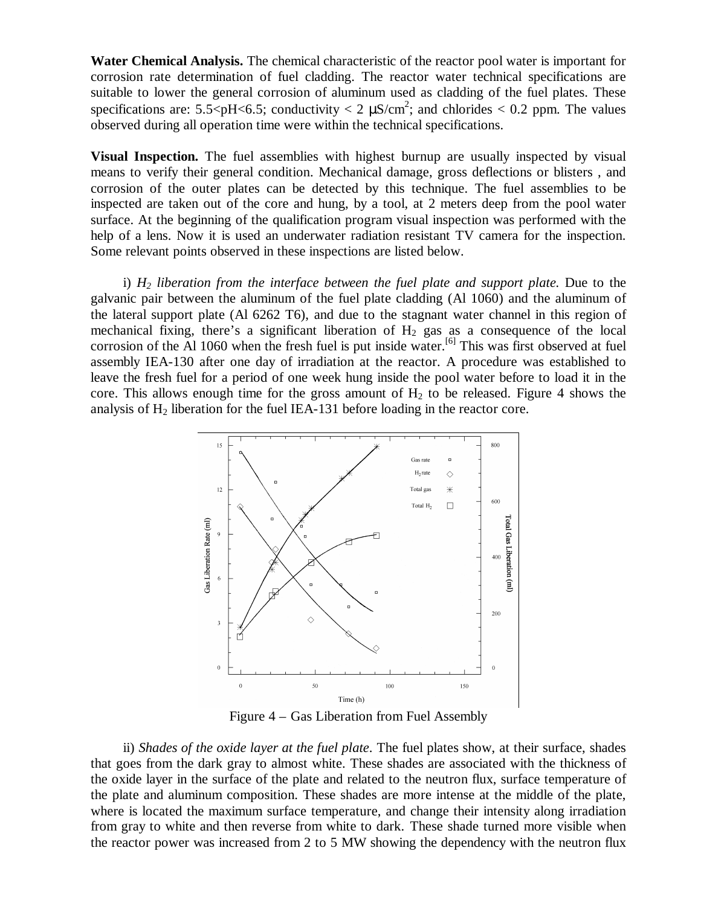**Water Chemical Analysis.** The chemical characteristic of the reactor pool water is important for corrosion rate determination of fuel cladding. The reactor water technical specifications are suitable to lower the general corrosion of aluminum used as cladding of the fuel plates. These specifications are: 5.5<pH<6.5; conductivity < 2  $\mu$ S/cm<sup>2</sup>; and chlorides < 0.2 ppm. The values observed during all operation time were within the technical specifications.

**Visual Inspection.** The fuel assemblies with highest burnup are usually inspected by visual means to verify their general condition. Mechanical damage, gross deflections or blisters , and corrosion of the outer plates can be detected by this technique. The fuel assemblies to be inspected are taken out of the core and hung, by a tool, at 2 meters deep from the pool water surface. At the beginning of the qualification program visual inspection was performed with the help of a lens. Now it is used an underwater radiation resistant TV camera for the inspection. Some relevant points observed in these inspections are listed below.

i) *H2 liberation from the interface between the fuel plate and support plate.* Due to the galvanic pair between the aluminum of the fuel plate cladding (Al 1060) and the aluminum of the lateral support plate (Al 6262 T6), and due to the stagnant water channel in this region of mechanical fixing, there's a significant liberation of  $H_2$  gas as a consequence of the local corrosion of the Al 1060 when the fresh fuel is put inside water.<sup>[6]</sup> This was first observed at fuel assembly IEA-130 after one day of irradiation at the reactor. A procedure was established to leave the fresh fuel for a period of one week hung inside the pool water before to load it in the core. This allows enough time for the gross amount of  $H_2$  to be released. Figure 4 shows the analysis of  $H_2$  liberation for the fuel IEA-131 before loading in the reactor core.



Figure 4 – Gas Liberation from Fuel Assembly

ii) *Shades of the oxide layer at the fuel plate*. The fuel plates show, at their surface, shades that goes from the dark gray to almost white. These shades are associated with the thickness of the oxide layer in the surface of the plate and related to the neutron flux, surface temperature of the plate and aluminum composition. These shades are more intense at the middle of the plate, where is located the maximum surface temperature, and change their intensity along irradiation from gray to white and then reverse from white to dark. These shade turned more visible when the reactor power was increased from 2 to 5 MW showing the dependency with the neutron flux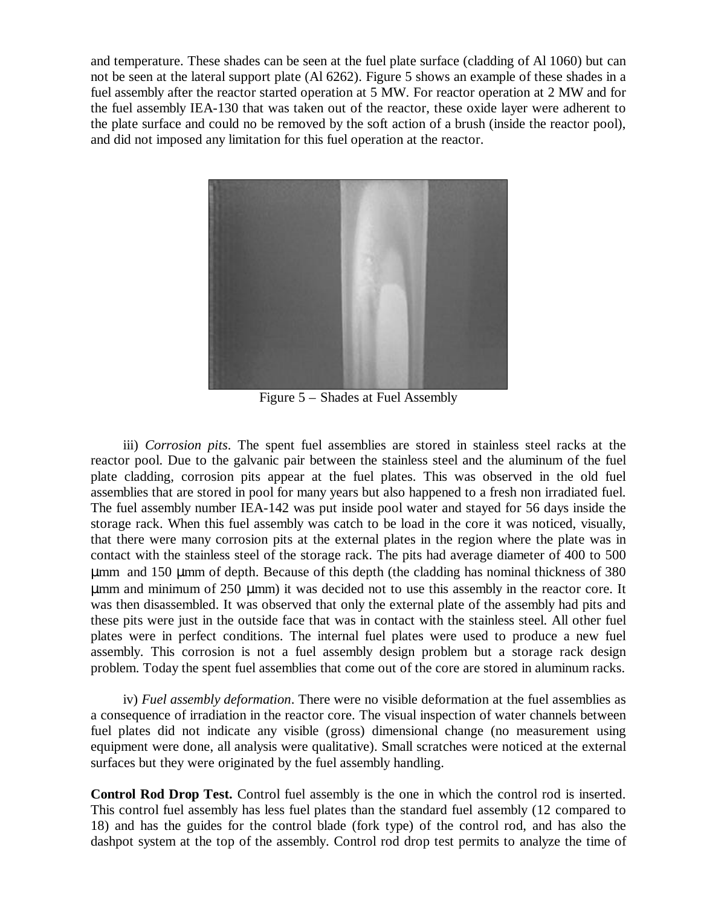and temperature. These shades can be seen at the fuel plate surface (cladding of Al 1060) but can not be seen at the lateral support plate (Al 6262). Figure 5 shows an example of these shades in a fuel assembly after the reactor started operation at 5 MW. For reactor operation at 2 MW and for the fuel assembly IEA-130 that was taken out of the reactor, these oxide layer were adherent to the plate surface and could no be removed by the soft action of a brush (inside the reactor pool), and did not imposed any limitation for this fuel operation at the reactor.



Figure 5 – Shades at Fuel Assembly

iii) *Corrosion pits*. The spent fuel assemblies are stored in stainless steel racks at the reactor pool. Due to the galvanic pair between the stainless steel and the aluminum of the fuel plate cladding, corrosion pits appear at the fuel plates. This was observed in the old fuel assemblies that are stored in pool for many years but also happened to a fresh non irradiated fuel. The fuel assembly number IEA-142 was put inside pool water and stayed for 56 days inside the storage rack. When this fuel assembly was catch to be load in the core it was noticed, visually, that there were many corrosion pits at the external plates in the region where the plate was in contact with the stainless steel of the storage rack. The pits had average diameter of 400 to 500 μmm and 150 μmm of depth. Because of this depth (the cladding has nominal thickness of 380 μmm and minimum of 250 μmm) it was decided not to use this assembly in the reactor core. It was then disassembled. It was observed that only the external plate of the assembly had pits and these pits were just in the outside face that was in contact with the stainless steel. All other fuel plates were in perfect conditions. The internal fuel plates were used to produce a new fuel assembly. This corrosion is not a fuel assembly design problem but a storage rack design problem. Today the spent fuel assemblies that come out of the core are stored in aluminum racks.

iv) *Fuel assembly deformation*. There were no visible deformation at the fuel assemblies as a consequence of irradiation in the reactor core. The visual inspection of water channels between fuel plates did not indicate any visible (gross) dimensional change (no measurement using equipment were done, all analysis were qualitative). Small scratches were noticed at the external surfaces but they were originated by the fuel assembly handling.

**Control Rod Drop Test.** Control fuel assembly is the one in which the control rod is inserted. This control fuel assembly has less fuel plates than the standard fuel assembly (12 compared to 18) and has the guides for the control blade (fork type) of the control rod, and has also the dashpot system at the top of the assembly. Control rod drop test permits to analyze the time of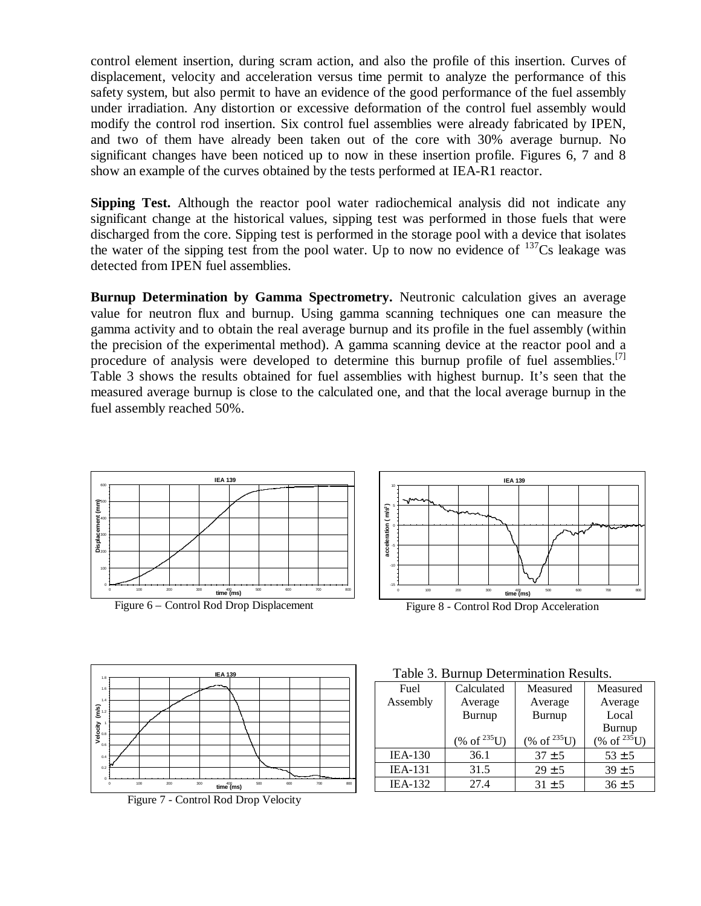control element insertion, during scram action, and also the profile of this insertion. Curves of displacement, velocity and acceleration versus time permit to analyze the performance of this safety system, but also permit to have an evidence of the good performance of the fuel assembly under irradiation. Any distortion or excessive deformation of the control fuel assembly would modify the control rod insertion. Six control fuel assemblies were already fabricated by IPEN, and two of them have already been taken out of the core with 30% average burnup. No significant changes have been noticed up to now in these insertion profile. Figures 6, 7 and 8 show an example of the curves obtained by the tests performed at IEA-R1 reactor.

**Sipping Test.** Although the reactor pool water radiochemical analysis did not indicate any significant change at the historical values, sipping test was performed in those fuels that were discharged from the core. Sipping test is performed in the storage pool with a device that isolates the water of the sipping test from the pool water. Up to now no evidence of  $137Cs$  leakage was detected from IPEN fuel assemblies.

**Burnup Determination by Gamma Spectrometry.** Neutronic calculation gives an average value for neutron flux and burnup. Using gamma scanning techniques one can measure the gamma activity and to obtain the real average burnup and its profile in the fuel assembly (within the precision of the experimental method). A gamma scanning device at the reactor pool and a procedure of analysis were developed to determine this burnup profile of fuel assemblies.<sup>[7]</sup> Table 3 shows the results obtained for fuel assemblies with highest burnup. It's seen that the measured average burnup is close to the calculated one, and that the local average burnup in the fuel assembly reached 50%.





Figure 7 - Control Rod Drop Velocity



Figure 8 - Control Rod Drop Acceleration

| Fuel           | Calculated                | Measured                  | Measured                  |  |  |  |
|----------------|---------------------------|---------------------------|---------------------------|--|--|--|
| Assembly       | Average                   | Average                   | Average                   |  |  |  |
|                | Burnup                    | Burnup                    | Local                     |  |  |  |
|                |                           |                           | Burnup                    |  |  |  |
|                | $(\% \text{ of }^{235}U)$ | $(\% \text{ of }^{235}U)$ | $(\% \text{ of }^{235}U)$ |  |  |  |
| $IEA-130$      | 36.1                      | $37 \pm 5$                | $53 \pm 5$                |  |  |  |
| <b>IEA-131</b> | 31.5                      | $29 \pm 5$                | $39 \pm 5$                |  |  |  |
| <b>IEA-132</b> | 27.4                      | $31 \pm 5$                | $36 \pm 5$                |  |  |  |